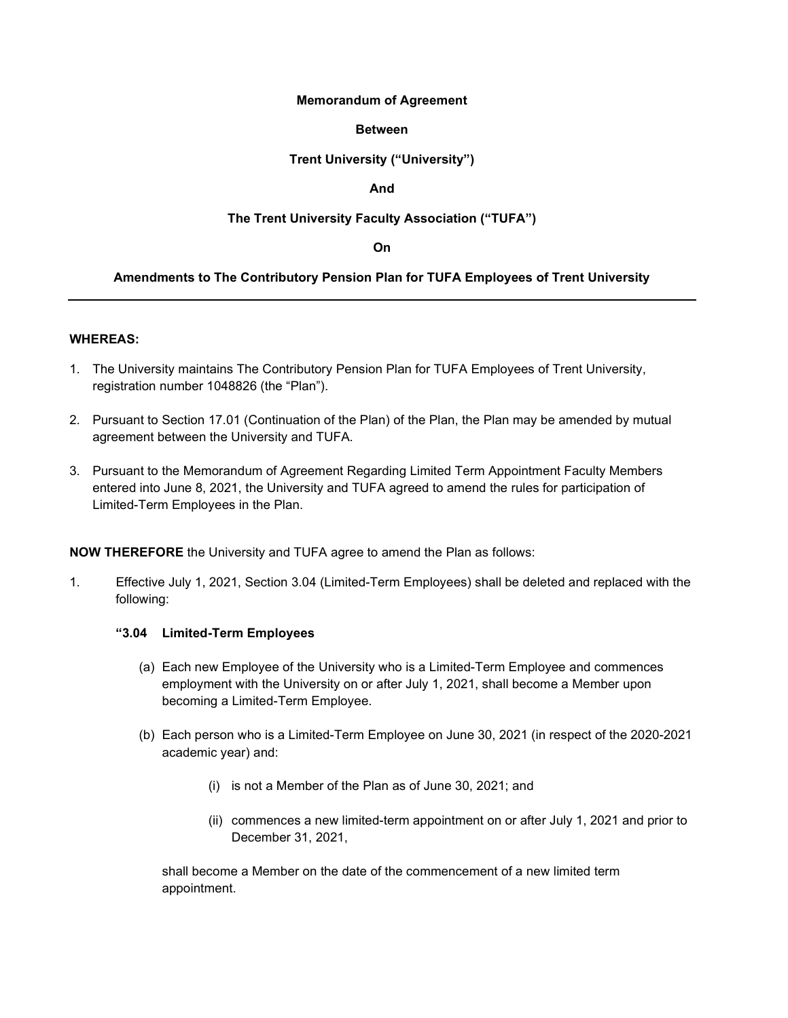### Memorandum of Agreement

## Between

# Trent University ("University")

## And

# The Trent University Faculty Association ("TUFA")

### On

## Amendments to The Contributory Pension Plan for TUFA Employees of Trent University

### WHEREAS:

- 1. The University maintains The Contributory Pension Plan for TUFA Employees of Trent University, registration number 1048826 (the "Plan").
- 2. Pursuant to Section 17.01 (Continuation of the Plan) of the Plan, the Plan may be amended by mutual agreement between the University and TUFA.
- 3. Pursuant to the Memorandum of Agreement Regarding Limited Term Appointment Faculty Members entered into June 8, 2021, the University and TUFA agreed to amend the rules for participation of Limited-Term Employees in the Plan.

NOW THEREFORE the University and TUFA agree to amend the Plan as follows:

1. Effective July 1, 2021, Section 3.04 (Limited-Term Employees) shall be deleted and replaced with the following:

#### "3.04 Limited-Term Employees

- (a) Each new Employee of the University who is a Limited-Term Employee and commences employment with the University on or after July 1, 2021, shall become a Member upon becoming a Limited-Term Employee.
- (b) Each person who is a Limited-Term Employee on June 30, 2021 (in respect of the 2020-2021 academic year) and:
	- (i) is not a Member of the Plan as of June 30, 2021; and
	- (ii) commences a new limited-term appointment on or after July 1, 2021 and prior to December 31, 2021,

shall become a Member on the date of the commencement of a new limited term appointment.